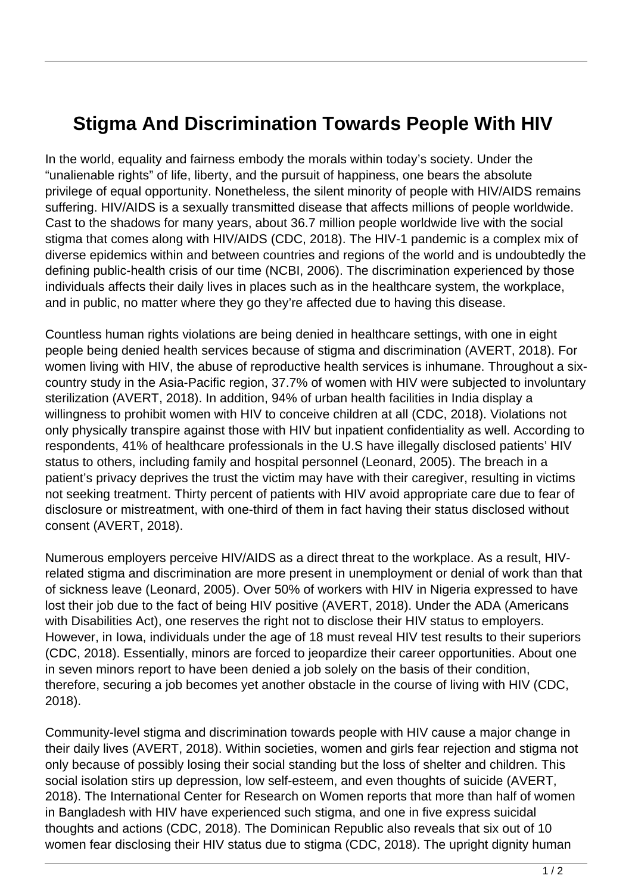## **Stigma And Discrimination Towards People With HIV**

In the world, equality and fairness embody the morals within today's society. Under the "unalienable rights" of life, liberty, and the pursuit of happiness, one bears the absolute privilege of equal opportunity. Nonetheless, the silent minority of people with HIV/AIDS remains suffering. HIV/AIDS is a sexually transmitted disease that affects millions of people worldwide. Cast to the shadows for many years, about 36.7 million people worldwide live with the social stigma that comes along with HIV/AIDS (CDC, 2018). The HIV-1 pandemic is a complex mix of diverse epidemics within and between countries and regions of the world and is undoubtedly the defining public-health crisis of our time (NCBI, 2006). The discrimination experienced by those individuals affects their daily lives in places such as in the healthcare system, the workplace, and in public, no matter where they go they're affected due to having this disease.

Countless human rights violations are being denied in healthcare settings, with one in eight people being denied health services because of stigma and discrimination (AVERT, 2018). For women living with HIV, the abuse of reproductive health services is inhumane. Throughout a sixcountry study in the Asia-Pacific region, 37.7% of women with HIV were subjected to involuntary sterilization (AVERT, 2018). In addition, 94% of urban health facilities in India display a willingness to prohibit women with HIV to conceive children at all (CDC, 2018). Violations not only physically transpire against those with HIV but inpatient confidentiality as well. According to respondents, 41% of healthcare professionals in the U.S have illegally disclosed patients' HIV status to others, including family and hospital personnel (Leonard, 2005). The breach in a patient's privacy deprives the trust the victim may have with their caregiver, resulting in victims not seeking treatment. Thirty percent of patients with HIV avoid appropriate care due to fear of disclosure or mistreatment, with one-third of them in fact having their status disclosed without consent (AVERT, 2018).

Numerous employers perceive HIV/AIDS as a direct threat to the workplace. As a result, HIVrelated stigma and discrimination are more present in unemployment or denial of work than that of sickness leave (Leonard, 2005). Over 50% of workers with HIV in Nigeria expressed to have lost their job due to the fact of being HIV positive (AVERT, 2018). Under the ADA (Americans with Disabilities Act), one reserves the right not to disclose their HIV status to employers. However, in Iowa, individuals under the age of 18 must reveal HIV test results to their superiors (CDC, 2018). Essentially, minors are forced to jeopardize their career opportunities. About one in seven minors report to have been denied a job solely on the basis of their condition, therefore, securing a job becomes yet another obstacle in the course of living with HIV (CDC, 2018).

Community-level stigma and discrimination towards people with HIV cause a major change in their daily lives (AVERT, 2018). Within societies, women and girls fear rejection and stigma not only because of possibly losing their social standing but the loss of shelter and children. This social isolation stirs up depression, low self-esteem, and even thoughts of suicide (AVERT, 2018). The International Center for Research on Women reports that more than half of women in Bangladesh with HIV have experienced such stigma, and one in five express suicidal thoughts and actions (CDC, 2018). The Dominican Republic also reveals that six out of 10 women fear disclosing their HIV status due to stigma (CDC, 2018). The upright dignity human